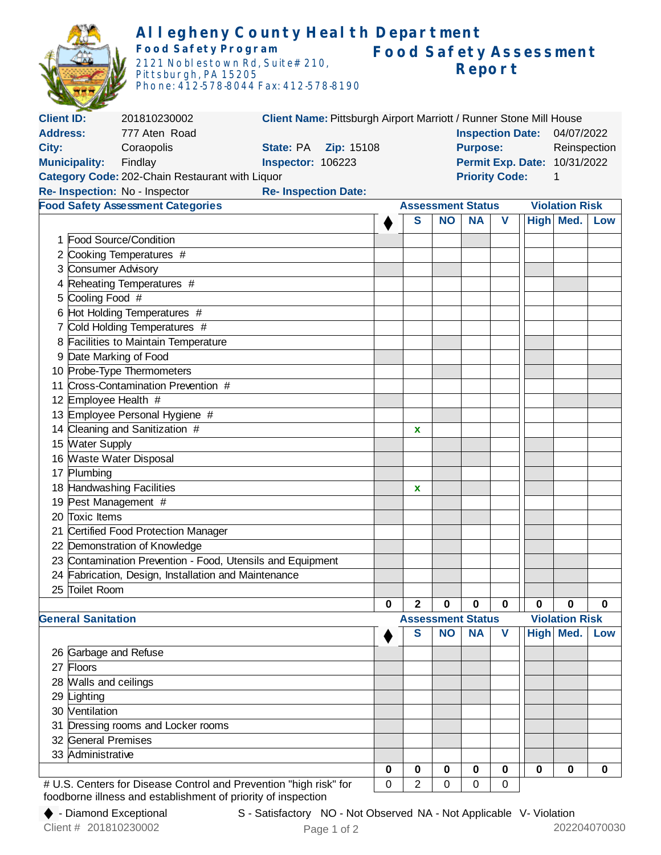|                                                       |                                                            | Allegheny County Health Department                                |                                                                    |                                                   |              |                          |                              |             |              |                       |             |
|-------------------------------------------------------|------------------------------------------------------------|-------------------------------------------------------------------|--------------------------------------------------------------------|---------------------------------------------------|--------------|--------------------------|------------------------------|-------------|--------------|-----------------------|-------------|
| Food Safety Program                                   |                                                            |                                                                   |                                                                    | <b>Food Safety Assessment</b>                     |              |                          |                              |             |              |                       |             |
| 2121 Noblestown Rd, Suite# 210,                       |                                                            |                                                                   | Report                                                             |                                                   |              |                          |                              |             |              |                       |             |
|                                                       |                                                            | Pittsburgh, PA 15205                                              |                                                                    |                                                   |              |                          |                              |             |              |                       |             |
|                                                       |                                                            | Phone: 412-578-8044 Fax: 412-578-8190                             |                                                                    |                                                   |              |                          |                              |             |              |                       |             |
|                                                       |                                                            |                                                                   |                                                                    |                                                   |              |                          |                              |             |              |                       |             |
| <b>Client ID:</b>                                     |                                                            | 201810230002                                                      | Client Name: Pittsburgh Airport Marriott / Runner Stone Mill House |                                                   |              |                          |                              |             |              |                       |             |
| <b>Address:</b>                                       |                                                            | 777 Aten Road                                                     |                                                                    | Inspection Date: 04/07/2022                       |              |                          |                              |             |              |                       |             |
| City:<br>Coraopolis<br><b>State: PA    Zip: 15108</b> |                                                            |                                                                   |                                                                    | Reinspection<br><b>Purpose:</b>                   |              |                          |                              |             |              |                       |             |
|                                                       | <b>Municipality:</b>                                       |                                                                   |                                                                    |                                                   |              |                          | Permit Exp. Date: 10/31/2022 |             |              |                       |             |
|                                                       |                                                            | Category Code: 202-Chain Restaurant with Liquor                   |                                                                    |                                                   |              | <b>Priority Code:</b>    |                              |             | $\mathbf{1}$ |                       |             |
|                                                       |                                                            | Re- Inspection: No - Inspector                                    | <b>Re- Inspection Date:</b>                                        |                                                   |              |                          |                              |             |              |                       |             |
| <b>Food Safety Assessment Categories</b>              |                                                            |                                                                   |                                                                    | <b>Violation Risk</b><br><b>Assessment Status</b> |              |                          |                              |             |              |                       |             |
|                                                       |                                                            |                                                                   |                                                                    |                                                   | S            | <b>NO</b>                | <b>NA</b>                    | V           |              | High Med.             | Low         |
|                                                       |                                                            | 1 Food Source/Condition                                           |                                                                    |                                                   |              |                          |                              |             |              |                       |             |
| 2                                                     |                                                            | Cooking Temperatures #                                            |                                                                    |                                                   |              |                          |                              |             |              |                       |             |
| 3                                                     | <b>Consumer Advisory</b>                                   |                                                                   |                                                                    |                                                   |              |                          |                              |             |              |                       |             |
|                                                       |                                                            | Reheating Temperatures #                                          |                                                                    |                                                   |              |                          |                              |             |              |                       |             |
| 5                                                     | Cooling Food #                                             |                                                                   |                                                                    |                                                   |              |                          |                              |             |              |                       |             |
|                                                       |                                                            | 6 Hot Holding Temperatures #                                      |                                                                    |                                                   |              |                          |                              |             |              |                       |             |
| 7                                                     |                                                            | Cold Holding Temperatures #                                       |                                                                    |                                                   |              |                          |                              |             |              |                       |             |
| 8                                                     |                                                            | <b>Facilities to Maintain Temperature</b>                         |                                                                    |                                                   |              |                          |                              |             |              |                       |             |
|                                                       | Date Marking of Food                                       |                                                                   |                                                                    |                                                   |              |                          |                              |             |              |                       |             |
|                                                       | 10 Probe-Type Thermometers                                 |                                                                   |                                                                    |                                                   |              |                          |                              |             |              |                       |             |
| 11                                                    | Cross-Contamination Prevention #                           |                                                                   |                                                                    |                                                   |              |                          |                              |             |              |                       |             |
|                                                       | 12 Employee Health #                                       |                                                                   |                                                                    |                                                   |              |                          |                              |             |              |                       |             |
|                                                       | 13 Employee Personal Hygiene #                             |                                                                   |                                                                    |                                                   |              |                          |                              |             |              |                       |             |
|                                                       |                                                            | 14 Cleaning and Sanitization #                                    |                                                                    |                                                   | X            |                          |                              |             |              |                       |             |
|                                                       |                                                            |                                                                   |                                                                    |                                                   |              |                          |                              |             |              |                       |             |
|                                                       | 15 Water Supply<br>16 Waste Water Disposal                 |                                                                   |                                                                    |                                                   |              |                          |                              |             |              |                       |             |
|                                                       |                                                            |                                                                   |                                                                    |                                                   |              |                          |                              |             |              |                       |             |
|                                                       | 17 Plumbing<br>18 Handwashing Facilities                   |                                                                   |                                                                    |                                                   |              |                          |                              |             |              |                       |             |
|                                                       | 19 Pest Management #                                       |                                                                   |                                                                    |                                                   |              |                          |                              |             |              |                       |             |
| 20                                                    | Toxic Items                                                |                                                                   |                                                                    |                                                   |              |                          |                              |             |              |                       |             |
| 21                                                    | Certified Food Protection Manager                          |                                                                   |                                                                    |                                                   |              |                          |                              |             |              |                       |             |
| 22                                                    | Demonstration of Knowledge                                 |                                                                   |                                                                    |                                                   |              |                          |                              |             |              |                       |             |
|                                                       | 23 Contamination Prevention - Food, Utensils and Equipment |                                                                   |                                                                    |                                                   |              |                          |                              |             |              |                       |             |
|                                                       | 24 Fabrication, Design, Installation and Maintenance       |                                                                   |                                                                    |                                                   |              |                          |                              |             |              |                       |             |
|                                                       | 25 Toilet Room                                             |                                                                   |                                                                    |                                                   |              |                          |                              |             |              |                       |             |
|                                                       |                                                            |                                                                   |                                                                    | $\bf{0}$                                          | $\mathbf{2}$ | $\mathbf 0$              | $\mathbf 0$                  | $\bf{0}$    | 0            | 0                     | $\mathbf 0$ |
|                                                       | <b>General Sanitation</b>                                  |                                                                   |                                                                    |                                                   |              | <b>Assessment Status</b> |                              |             |              | <b>Violation Risk</b> |             |
|                                                       |                                                            |                                                                   |                                                                    |                                                   | S            | <b>NO</b>                | <b>NA</b>                    | $\mathbf v$ |              | High Med.             | Low         |
|                                                       |                                                            |                                                                   |                                                                    |                                                   |              |                          |                              |             |              |                       |             |
|                                                       | 26 Garbage and Refuse                                      |                                                                   |                                                                    |                                                   |              |                          |                              |             |              |                       |             |
| 27                                                    | Floors                                                     |                                                                   |                                                                    |                                                   |              |                          |                              |             |              |                       |             |
|                                                       | 28 Walls and ceilings                                      |                                                                   |                                                                    |                                                   |              |                          |                              |             |              |                       |             |
|                                                       | 29 Lighting                                                |                                                                   |                                                                    |                                                   |              |                          |                              |             |              |                       |             |
|                                                       | 30 Ventilation                                             |                                                                   |                                                                    |                                                   |              |                          |                              |             |              |                       |             |
|                                                       | Dressing rooms and Locker rooms<br>31                      |                                                                   |                                                                    |                                                   |              |                          |                              |             |              |                       |             |
| 32 General Premises                                   |                                                            |                                                                   |                                                                    |                                                   |              |                          |                              |             |              |                       |             |
|                                                       | 33 Administrative                                          |                                                                   |                                                                    |                                                   |              |                          |                              |             |              |                       |             |
|                                                       |                                                            |                                                                   |                                                                    | 0                                                 | 0            | $\bf{0}$                 | $\bf{0}$                     | 0           | 0            | 0                     | 0           |
|                                                       |                                                            | # U.S. Centers for Disease Control and Prevention "high risk" for |                                                                    | 0                                                 | 2            | 0                        | $\mathbf 0$                  | 0           |              |                       |             |

foodborne illness and establishment of priority of inspection

S - Satisfactory NO - Not Observed NA - Not Applicable V- Violation S - Satisfactory NO - Not Observed NA - Not Applicable V- Violation